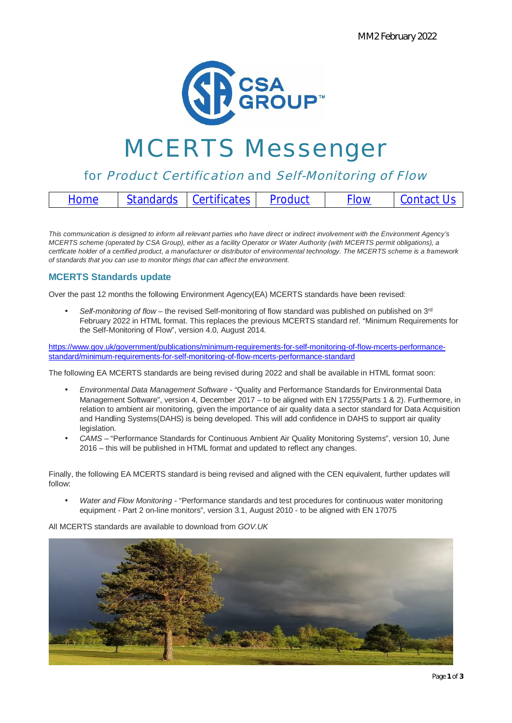

# MCERTS Messenger

# for Product Certification and Self-Monitoring of Flow

| Standards Certificates Product<br>Contact Us<br><b>Flow</b><br>Home |
|---------------------------------------------------------------------|
|---------------------------------------------------------------------|

*This communication is designed to inform all relevant parties who have direct or indirect involvement with the Environment Agency's MCERTS scheme (operated by CSA Group), either as a facility Operator or Water Authority (with MCERTS permit obligations), a certficate holder of a certified product, a manufacturer or distributor of environmental technology. The MCERTS scheme is a framework of standards that you can use to monitor things that can affect the environment.*

## **MCERTS Standards update**

Over the past 12 months the following Environment Agency(EA) MCERTS standards have been revised:

*Self-monitoring of flow* – the revised Self-monitoring of flow standard was published on published on 3rd February 2022 in HTML format. This replaces the previous MCERTS standard ref. "Minimum Requirements for the Self-Monitoring of Flow", version 4.0, August 2014.

https://www.gov.uk/government/publications/minimum-requirements-for-self-monitoring-of-flow-mcerts-performancestandard/minimum-requirements-for-self-monitoring-of-flow-mcerts-performance-standard

The following EA MCERTS standards are being revised during 2022 and shall be available in HTML format soon:

- *Environmental Data Management Software* "Quality and Performance Standards for Environmental Data Management Software", version 4, December 2017 – to be aligned with EN 17255(Parts 1 & 2). Furthermore, in relation to ambient air monitoring, given the importance of air quality data a sector standard for Data Acquisition and Handling Systems(DAHS) is being developed. This will add confidence in DAHS to support air quality legislation.
- *CAMS* "Performance Standards for Continuous Ambient Air Quality Monitoring Systems", version 10, June 2016 – this will be published in HTML format and updated to reflect any changes.

Finally, the following EA MCERTS standard is being revised and aligned with the CEN equivalent, further updates will follow:

*Water and Flow Monitoring* - "Performance standards and test procedures for continuous water monitoring equipment - Part 2 on-line monitors", version 3.1, August 2010 - to be aligned with EN 17075

All MCERTS standards are available to download from *GOV.UK*

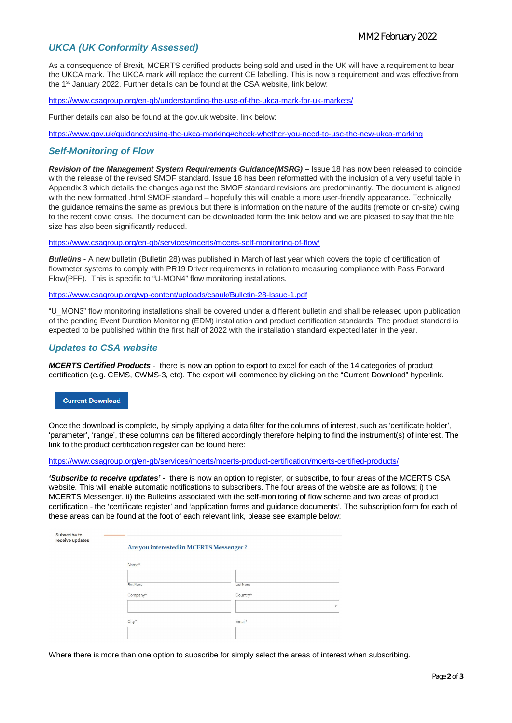### *UKCA (UK Conformity Assessed)*

As a consequence of Brexit, MCERTS certified products being sold and used in the UK will have a requirement to bear the UKCA mark. The UKCA mark will replace the current CE labelling. This is now a requirement and was effective from the 1st January 2022. Further details can be found at the CSA website, link below:

https://www.csagroup.org/en-gb/understanding-the-use-of-the-ukca-mark-for-uk-markets/

Further details can also be found at the gov.uk website, link below:

https://www.gov.uk/guidance/using-the-ukca-marking#check-whether-you-need-to-use-the-new-ukca-marking

#### *Self-Monitoring of Flow*

*Revision of the Management System Requirements Guidance(MSRG) –* Issue 18 has now been released to coincide with the release of the revised SMOF standard. Issue 18 has been reformatted with the inclusion of a very useful table in Appendix 3 which details the changes against the SMOF standard revisions are predominantly. The document is aligned with the new formatted .html SMOF standard – hopefully this will enable a more user-friendly appearance. Technically the guidance remains the same as previous but there is information on the nature of the audits (remote or on-site) owing to the recent covid crisis. The document can be downloaded form the link below and we are pleased to say that the file size has also been significantly reduced.

https://www.csagroup.org/en-gb/services/mcerts/mcerts-self-monitoring-of-flow/

*Bulletins -* A new bulletin (Bulletin 28) was published in March of last year which covers the topic of certification of flowmeter systems to comply with PR19 Driver requirements in relation to measuring compliance with Pass Forward Flow(PFF). This is specific to "U-MON4" flow monitoring installations.

https://www.csagroup.org/wp-content/uploads/csauk/Bulletin-28-Issue-1.pdf

"U\_MON3" flow monitoring installations shall be covered under a different bulletin and shall be released upon publication of the pending Event Duration Monitoring (EDM) installation and product certification standards. The product standard is expected to be published within the first half of 2022 with the installation standard expected later in the year.

#### *Updates to CSA website*

*MCERTS Certified Products* - there is now an option to export to excel for each of the 14 categories of product certification (e.g. CEMS, CWMS-3, etc). The export will commence by clicking on the "Current Download" hyperlink.

#### **Current Download**

Once the download is complete, by simply applying a data filter for the columns of interest, such as 'certificate holder', 'parameter', 'range', these columns can be filtered accordingly therefore helping to find the instrument(s) of interest. The link to the product certification register can be found here:

https://www.csagroup.org/en-gb/services/mcerts/mcerts-product-certification/mcerts-certified-products/

*'Subscribe to receive updates'* - there is now an option to register, or subscribe, to four areas of the MCERTS CSA website. This will enable automatic notifications to subscribers. The four areas of the website are as follows; i) the MCERTS Messenger, ii) the Bulletins associated with the self-monitoring of flow scheme and two areas of product certification - the 'certificate register' and 'application forms and guidance documents'. The subscription form for each of these areas can be found at the foot of each relevant link, please see example below:

| Namc*      |                      |                                                   |
|------------|----------------------|---------------------------------------------------|
| First Name | Last Name            |                                                   |
| Company*   | Country <sup>*</sup> |                                                   |
|            |                      | $\mathbf{v}$                                      |
|            |                      |                                                   |
|            | City <sup>+</sup>    | Are you interested in MCERTS Messenger?<br>Email* |

Where there is more than one option to subscribe for simply select the areas of interest when subscribing.